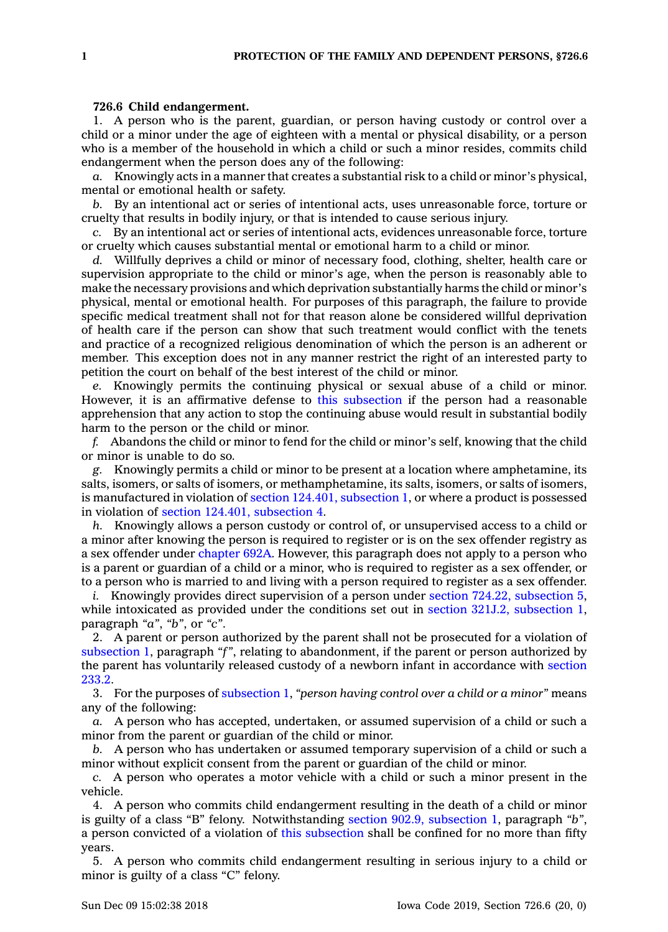## **726.6 Child endangerment.**

1. A person who is the parent, guardian, or person having custody or control over <sup>a</sup> child or <sup>a</sup> minor under the age of eighteen with <sup>a</sup> mental or physical disability, or <sup>a</sup> person who is <sup>a</sup> member of the household in which <sup>a</sup> child or such <sup>a</sup> minor resides, commits child endangerment when the person does any of the following:

*a.* Knowingly acts in <sup>a</sup> manner that creates <sup>a</sup> substantial risk to <sup>a</sup> child or minor's physical, mental or emotional health or safety.

*b.* By an intentional act or series of intentional acts, uses unreasonable force, torture or cruelty that results in bodily injury, or that is intended to cause serious injury.

*c.* By an intentional act or series of intentional acts, evidences unreasonable force, torture or cruelty which causes substantial mental or emotional harm to <sup>a</sup> child or minor.

*d.* Willfully deprives <sup>a</sup> child or minor of necessary food, clothing, shelter, health care or supervision appropriate to the child or minor's age, when the person is reasonably able to make the necessary provisions and which deprivation substantially harms the child or minor's physical, mental or emotional health. For purposes of this paragraph, the failure to provide specific medical treatment shall not for that reason alone be considered willful deprivation of health care if the person can show that such treatment would conflict with the tenets and practice of <sup>a</sup> recognized religious denomination of which the person is an adherent or member. This exception does not in any manner restrict the right of an interested party to petition the court on behalf of the best interest of the child or minor.

*e.* Knowingly permits the continuing physical or sexual abuse of <sup>a</sup> child or minor. However, it is an affirmative defense to this [subsection](https://www.legis.iowa.gov/docs/code/726.6.pdf) if the person had <sup>a</sup> reasonable apprehension that any action to stop the continuing abuse would result in substantial bodily harm to the person or the child or minor.

*f.* Abandons the child or minor to fend for the child or minor's self, knowing that the child or minor is unable to do so.

*g.* Knowingly permits <sup>a</sup> child or minor to be present at <sup>a</sup> location where amphetamine, its salts, isomers, or salts of isomers, or methamphetamine, its salts, isomers, or salts of isomers, is manufactured in violation of section 124.401, [subsection](https://www.legis.iowa.gov/docs/code/124.401.pdf) 1, or where <sup>a</sup> product is possessed in violation of section 124.401, [subsection](https://www.legis.iowa.gov/docs/code/124.401.pdf) 4.

*h.* Knowingly allows <sup>a</sup> person custody or control of, or unsupervised access to <sup>a</sup> child or <sup>a</sup> minor after knowing the person is required to register or is on the sex offender registry as <sup>a</sup> sex offender under [chapter](https://www.legis.iowa.gov/docs/code//692A.pdf) 692A. However, this paragraph does not apply to <sup>a</sup> person who is <sup>a</sup> parent or guardian of <sup>a</sup> child or <sup>a</sup> minor, who is required to register as <sup>a</sup> sex offender, or to <sup>a</sup> person who is married to and living with <sup>a</sup> person required to register as <sup>a</sup> sex offender.

*i.* Knowingly provides direct supervision of a person under section 724.22, [subsection](https://www.legis.iowa.gov/docs/code/724.22.pdf) 5, while intoxicated as provided under the conditions set out in section 321J.2, [subsection](https://www.legis.iowa.gov/docs/code/321J.2.pdf) 1, paragraph *"a"*, *"b"*, or *"c"*.

2. A parent or person authorized by the parent shall not be prosecuted for <sup>a</sup> violation of [subsection](https://www.legis.iowa.gov/docs/code/726.6.pdf) 1, paragraph *"f"*, relating to abandonment, if the parent or person authorized by the parent has voluntarily released custody of <sup>a</sup> newborn infant in accordance with [section](https://www.legis.iowa.gov/docs/code/233.2.pdf) [233.2](https://www.legis.iowa.gov/docs/code/233.2.pdf).

3. For the purposes of [subsection](https://www.legis.iowa.gov/docs/code/726.6.pdf) 1, *"person having control over <sup>a</sup> child or <sup>a</sup> minor"* means any of the following:

*a.* A person who has accepted, undertaken, or assumed supervision of <sup>a</sup> child or such <sup>a</sup> minor from the parent or guardian of the child or minor.

*b.* A person who has undertaken or assumed temporary supervision of <sup>a</sup> child or such <sup>a</sup> minor without explicit consent from the parent or guardian of the child or minor.

*c.* A person who operates <sup>a</sup> motor vehicle with <sup>a</sup> child or such <sup>a</sup> minor present in the vehicle.

4. A person who commits child endangerment resulting in the death of <sup>a</sup> child or minor is guilty of <sup>a</sup> class "B" felony. Notwithstanding section 902.9, [subsection](https://www.legis.iowa.gov/docs/code/902.9.pdf) 1, paragraph *"b"*, <sup>a</sup> person convicted of <sup>a</sup> violation of this [subsection](https://www.legis.iowa.gov/docs/code/726.6.pdf) shall be confined for no more than fifty years.

5. A person who commits child endangerment resulting in serious injury to <sup>a</sup> child or minor is guilty of <sup>a</sup> class "C" felony.